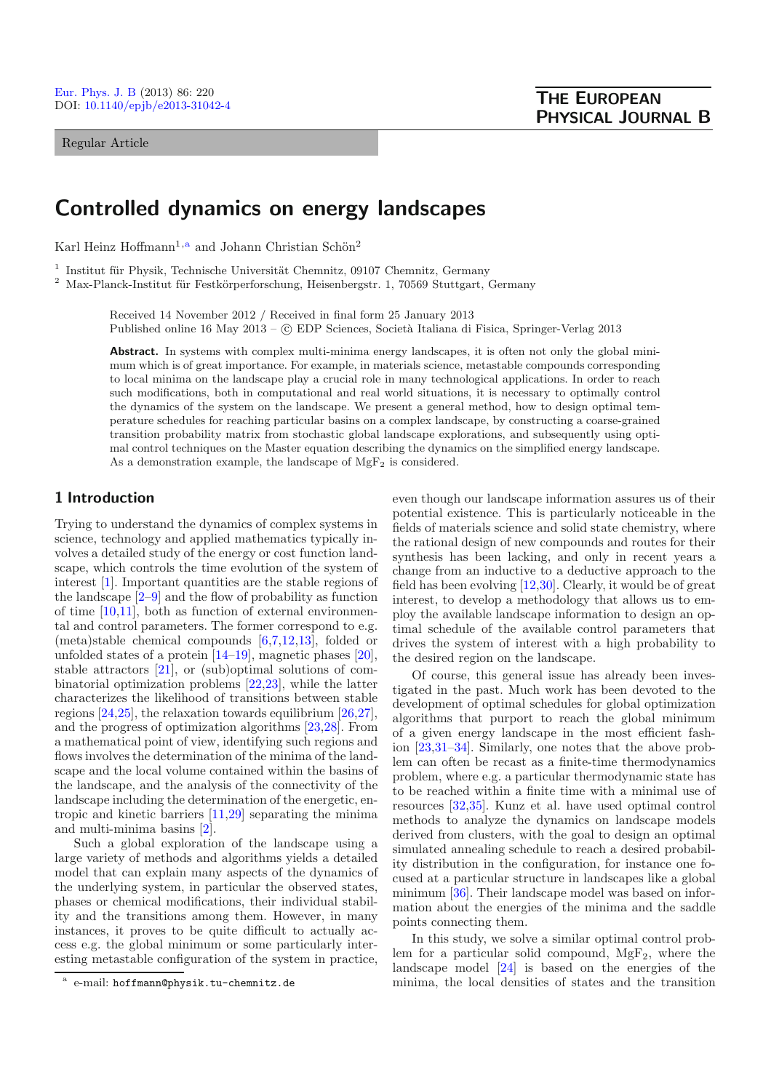#### Regular Article

# **Controlled dynamics on energy landscapes**

Karl Heinz Hoffmann<sup>1,a</sup> and Johann Christian Schön<sup>2</sup>

<sup>1</sup> Institut für Physik, Technische Universität Chemnitz, 09107 Chemnitz, Germany

 $2$  Max-Planck-Institut für Festkörperforschung, Heisenbergstr. 1, 70569 Stuttgart, Germany

Received 14 November 2012 / Received in final form 25 January 2013 Published online 16 May 2013 – © EDP Sciences, Società Italiana di Fisica, Springer-Verlag 2013

Abstract. In systems with complex multi-minima energy landscapes, it is often not only the global minimum which is of great importance. For example, in materials science, metastable compounds corresponding to local minima on the landscape play a crucial role in many technological applications. In order to reach such modifications, both in computational and real world situations, it is necessary to optimally control the dynamics of the system on the landscape. We present a general method, how to design optimal temperature schedules for reaching particular basins on a complex landscape, by constructing a coarse-grained transition probability matrix from stochastic global landscape explorations, and subsequently using optimal control techniques on the Master equation describing the dynamics on the simplified energy landscape. As a demonstration example, the landscape of  $MgF_2$  is considered.

# **1 Introduction**

Trying to understand the dynamics of complex systems in science, technology and applied mathematics typically involves a detailed study of the energy or cost function landscape, which controls the time evolution of the system of interest [\[1\]](#page-9-0). Important quantities are the stable regions of the landscape  $[2-9]$  $[2-9]$  and the flow of probability as function of time [\[10](#page-9-3)[,11](#page-9-4)], both as function of external environmental and control parameters. The former correspond to e.g. (meta)stable chemical compounds [\[6](#page-9-5)[,7](#page-9-6)[,12](#page-9-7)[,13](#page-9-8)], folded or unfolded states of a protein [\[14](#page-9-9)[–19](#page-9-10)], magnetic phases [\[20\]](#page-9-11), stable attractors [\[21\]](#page-9-12), or (sub)optimal solutions of combinatorial optimization problems [\[22](#page-9-13)[,23\]](#page-9-14), while the latter characterizes the likelihood of transitions between stable regions [\[24](#page-9-15)[,25\]](#page-9-16), the relaxation towards equilibrium [\[26](#page-9-17)[,27](#page-9-18)], and the progress of optimization algorithms [\[23](#page-9-14)[,28](#page-9-19)]. From a mathematical point of view, identifying such regions and flows involves the determination of the minima of the landscape and the local volume contained within the basins of the landscape, and the analysis of the connectivity of the landscape including the determination of the energetic, entropic and kinetic barriers [\[11](#page-9-4)[,29](#page-9-20)] separating the minima and multi-minima basins [\[2\]](#page-9-1).

Such a global exploration of the landscape using a large variety of methods and algorithms yields a detailed model that can explain many aspects of the dynamics of the underlying system, in particular the observed states, phases or chemical modifications, their individual stability and the transitions among them. However, in many instances, it proves to be quite difficult to actually access e.g. the global minimum or some particularly interesting metastable configuration of the system in practice,

even though our landscape information assures us of their potential existence. This is particularly noticeable in the fields of materials science and solid state chemistry, where the rational design of new compounds and routes for their synthesis has been lacking, and only in recent years a change from an inductive to a deductive approach to the field has been evolving [\[12](#page-9-7)[,30](#page-9-21)]. Clearly, it would be of great interest, to develop a methodology that allows us to employ the available landscape information to design an optimal schedule of the available control parameters that drives the system of interest with a high probability to the desired region on the landscape.

Of course, this general issue has already been investigated in the past. Much work has been devoted to the development of optimal schedules for global optimization algorithms that purport to reach the global minimum of a given energy landscape in the most efficient fashion [\[23](#page-9-14)[,31](#page-9-22)[–34\]](#page-9-23). Similarly, one notes that the above problem can often be recast as a finite-time thermodynamics problem, where e.g. a particular thermodynamic state has to be reached within a finite time with a minimal use of resources [\[32](#page-9-24)[,35](#page-9-25)]. Kunz et al. have used optimal control methods to analyze the dynamics on landscape models derived from clusters, with the goal to design an optimal simulated annealing schedule to reach a desired probability distribution in the configuration, for instance one focused at a particular structure in landscapes like a global minimum [\[36\]](#page-9-26). Their landscape model was based on information about the energies of the minima and the saddle points connecting them.

In this study, we solve a similar optimal control problem for a particular solid compound,  $MgF_2$ , where the landscape model [\[24](#page-9-15)] is based on the energies of the minima, the local densities of states and the transition

e-mail: hoffmann@physik.tu-chemnitz.de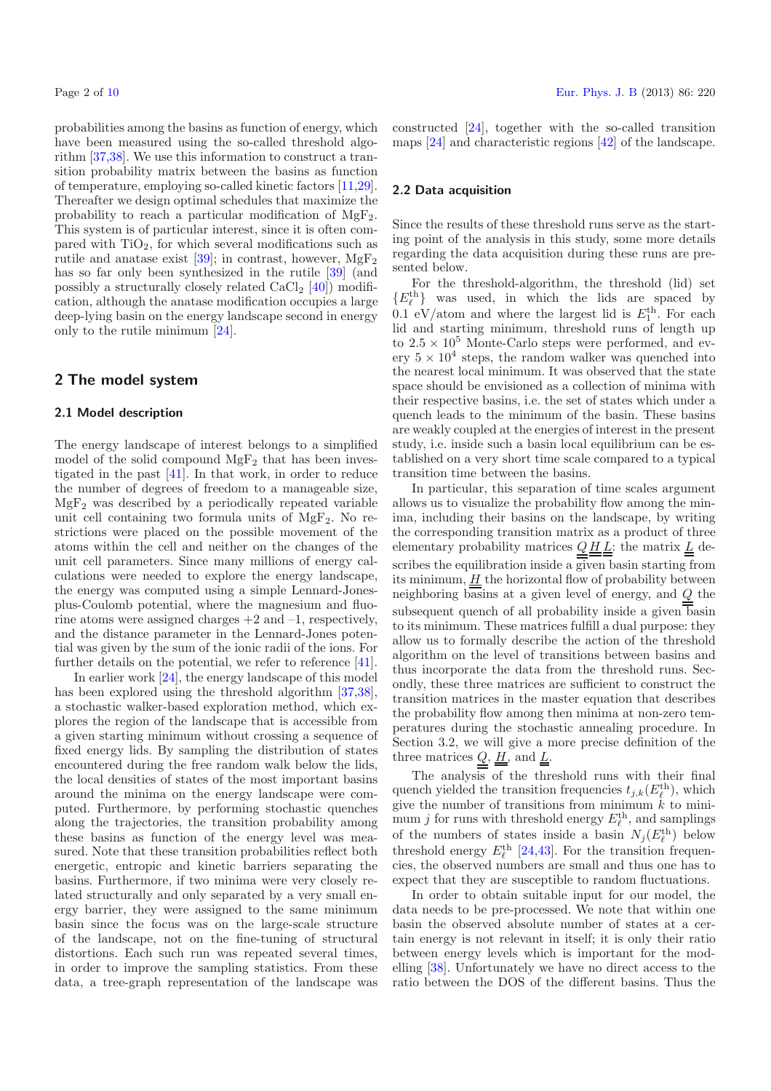probabilities among the basins as function of energy, which have been measured using the so-called threshold algorithm [\[37](#page-9-28)[,38\]](#page-9-29). We use this information to construct a transition probability matrix between the basins as function of temperature, employing so-called kinetic factors [\[11](#page-9-4)[,29\]](#page-9-20). Thereafter we design optimal schedules that maximize the probability to reach a particular modification of  $MgF_2$ . This system is of particular interest, since it is often compared with  $TiO<sub>2</sub>$ , for which several modifications such as rutile and anatase exist  $[39]$  $[39]$ ; in contrast, however,  $MgF_2$ has so far only been synthesized in the rutile [\[39](#page-9-30)] (and possibly a structurally closely related  $CaCl<sub>2</sub>$  [\[40\]](#page-9-31)) modification, although the anatase modification occupies a large deep-lying basin on the energy landscape second in energy only to the rutile minimum [\[24](#page-9-15)].

# **2 The model system**

#### **2.1 Model description**

The energy landscape of interest belongs to a simplified model of the solid compound  $MgF_2$  that has been investigated in the past [\[41\]](#page-9-32). In that work, in order to reduce the number of degrees of freedom to a manageable size,  $MgF<sub>2</sub>$  was described by a periodically repeated variable unit cell containing two formula units of  $MgF_2$ . No restrictions were placed on the possible movement of the atoms within the cell and neither on the changes of the unit cell parameters. Since many millions of energy calculations were needed to explore the energy landscape, the energy was computed using a simple Lennard-Jonesplus-Coulomb potential, where the magnesium and fluorine atoms were assigned charges  $+2$  and  $-1$ , respectively, and the distance parameter in the Lennard-Jones potential was given by the sum of the ionic radii of the ions. For further details on the potential, we refer to reference [\[41\]](#page-9-32).

In earlier work [\[24](#page-9-15)], the energy landscape of this model has been explored using the threshold algorithm [\[37](#page-9-28)[,38\]](#page-9-29), a stochastic walker-based exploration method, which explores the region of the landscape that is accessible from a given starting minimum without crossing a sequence of fixed energy lids. By sampling the distribution of states encountered during the free random walk below the lids, the local densities of states of the most important basins around the minima on the energy landscape were computed. Furthermore, by performing stochastic quenches along the trajectories, the transition probability among these basins as function of the energy level was measured. Note that these transition probabilities reflect both energetic, entropic and kinetic barriers separating the basins. Furthermore, if two minima were very closely related structurally and only separated by a very small energy barrier, they were assigned to the same minimum basin since the focus was on the large-scale structure of the landscape, not on the fine-tuning of structural distortions. Each such run was repeated several times, in order to improve the sampling statistics. From these data, a tree-graph representation of the landscape was

constructed [\[24\]](#page-9-15), together with the so-called transition maps [\[24](#page-9-15)] and characteristic regions [\[42\]](#page-9-33) of the landscape.

#### <span id="page-1-0"></span>**2.2 Data acquisition**

Since the results of these threshold runs serve as the starting point of the analysis in this study, some more details regarding the data acquisition during these runs are presented below.

For the threshold-algorithm, the threshold (lid) set  ${E_{\ell}^{\text{th}}}$  was used, in which the lids are spaced by 0.1 eV/atom and where the largest lid is  $E_1^{\text{th}}$ . For each lid and starting minimum, threshold runs of length up to  $2.5 \times 10^5$  Monte-Carlo steps were performed, and every  $5 \times 10^4$  steps, the random walker was quenched into the nearest local minimum. It was observed that the state space should be envisioned as a collection of minima with their respective basins, i.e. the set of states which under a quench leads to the minimum of the basin. These basins are weakly coupled at the energies of interest in the present study, i.e. inside such a basin local equilibrium can be established on a very short time scale compared to a typical transition time between the basins.

In particular, this separation of time scales argument allows us to visualize the probability flow among the minima, including their basins on the landscape, by writing the corresponding transition matrix as a product of three elementary probability matrices  $Q \underline{H} \underline{L}$ : the matrix  $\underline{L}$  describes the equilibration inside a given basin starting from its minimum,  $H$  the horizontal flow of probability between neighboring basins at a given level of energy, and Q the subsequent quench of all probability inside a given  $\overline{\text{basin}}$ to its minimum. These matrices fulfill a dual purpose: they allow us to formally describe the action of the threshold algorithm on the level of transitions between basins and thus incorporate the data from the threshold runs. Secondly, these three matrices are sufficient to construct the transition matrices in the master equation that describes the probability flow among then minima at non-zero temperatures during the stochastic annealing procedure. In Section 3.2, we will give a more precise definition of the three matrices  $Q, H$ , and  $L$ .

The analysis of the threshold runs with their final quench yielded the transition frequencies  $t_{j,k}(E_{\ell}^{\text{th}})$ , which give the number of transitions from minimum  $\tilde{k}$  to minimum *j* for runs with threshold energy  $E_{\ell}^{\text{th}}$ , and samplings of the numbers of states inside a basin  $N_j(E_{\ell}^{\text{th}})$  below threshold energy  $E_{\ell}^{\text{th}}$  [\[24](#page-9-15)[,43](#page-9-34)]. For the transition frequencies, the observed numbers are small and thus one has to expect that they are susceptible to random fluctuations.

In order to obtain suitable input for our model, the data needs to be pre-processed. We note that within one basin the observed absolute number of states at a certain energy is not relevant in itself; it is only their ratio between energy levels which is important for the modelling [\[38](#page-9-29)]. Unfortunately we have no direct access to the ratio between the DOS of the different basins. Thus the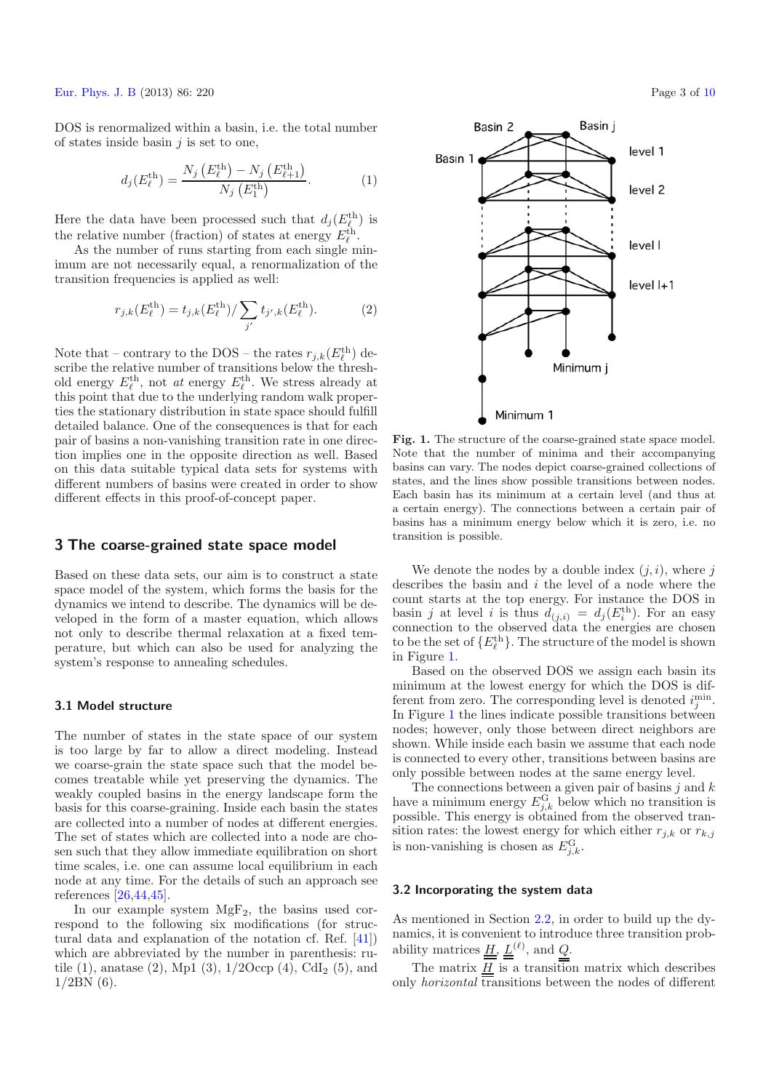[Eur. Phys. J. B](http://www.epj.org) (2013) 86: 220 Page 3 of [10](#page-9-27)

DOS is renormalized within a basin, i.e. the total number of states inside basin  $j$  is set to one,

$$
d_j(E_{\ell}^{\text{th}}) = \frac{N_j(E_{\ell}^{\text{th}}) - N_j(E_{\ell+1}^{\text{th}})}{N_j(E_1^{\text{th}})}.
$$
 (1)

Here the data have been processed such that  $d_j(E_{\ell}^{\text{th}})$  is the relative number (fraction) of states at energy  $E_{\ell}^{\text{th}}$ .

As the number of runs starting from each single minimum are not necessarily equal, a renormalization of the transition frequencies is applied as well:

$$
r_{j,k}(E_{\ell}^{\text{th}}) = t_{j,k}(E_{\ell}^{\text{th}}) / \sum_{j'} t_{j',k}(E_{\ell}^{\text{th}}). \tag{2}
$$

Note that – contrary to the DOS – the rates  $r_{j,k}(E_{\ell}^{\text{th}})$  describe the relative number of transitions below the threshold energy  $E_{\ell}^{\text{th}}$ , not *at* energy  $E_{\ell}^{\text{th}}$ . We stress already at this point that due to the underlying random walk properties the stationary distribution in state space should fulfill detailed balance. One of the consequences is that for each pair of basins a non-vanishing transition rate in one direction implies one in the opposite direction as well. Based on this data suitable typical data sets for systems with different numbers of basins were created in order to show different effects in this proof-of-concept paper.

## **3 The coarse-grained state space model**

Based on these data sets, our aim is to construct a state space model of the system, which forms the basis for the dynamics we intend to describe. The dynamics will be developed in the form of a master equation, which allows not only to describe thermal relaxation at a fixed temperature, but which can also be used for analyzing the system's response to annealing schedules.

#### **3.1 Model structure**

The number of states in the state space of our system is too large by far to allow a direct modeling. Instead we coarse-grain the state space such that the model becomes treatable while yet preserving the dynamics. The weakly coupled basins in the energy landscape form the basis for this coarse-graining. Inside each basin the states are collected into a number of nodes at different energies. The set of states which are collected into a node are chosen such that they allow immediate equilibration on short time scales, i.e. one can assume local equilibrium in each node at any time. For the details of such an approach see references [\[26](#page-9-17)[,44](#page-9-35)[,45](#page-9-36)].

In our example system  $MgF_2$ , the basins used correspond to the following six modifications (for structural data and explanation of the notation cf. Ref. [\[41\]](#page-9-32)) which are abbreviated by the number in parenthesis: rutile (1), anatase (2), Mp1 (3),  $1/2$ Occp (4), CdI<sub>2</sub> (5), and  $1/2BN(6)$ .

<span id="page-2-0"></span>

**Fig. 1.** The structure of the coarse-grained state space model. Note that the number of minima and their accompanying basins can vary. The nodes depict coarse-grained collections of states, and the lines show possible transitions between nodes. Each basin has its minimum at a certain level (and thus at a certain energy). The connections between a certain pair of basins has a minimum energy below which it is zero, i.e. no transition is possible.

We denote the nodes by a double index  $(j, i)$ , where j describes the basin and i the level of a node where the count starts at the top energy. For instance the DOS in basin j at level i is thus  $d_{(j,i)} = d_j(E_i^{\text{th}})$ . For an easy connection to the observed data the energies are chosen to be the set of  $\{E_{\ell}^{\text{th}}\}$ . The structure of the model is shown in Figure [1.](#page-2-0)

Based on the observed DOS we assign each basin its minimum at the lowest energy for which the DOS is different from zero. The corresponding level is denoted  $i_j^{\text{min}}$ . In Figure [1](#page-2-0) the lines indicate possible transitions between nodes; however, only those between direct neighbors are shown. While inside each basin we assume that each node is connected to every other, transitions between basins are only possible between nodes at the same energy level.

The connections between a given pair of basins  $j$  and  $k$ have a minimum energy  $E_{j,k}^{\text{G}}$  below which no transition is possible. This energy is obtained from the observed transition rates: the lowest energy for which either  $r_{i,k}$  or  $r_{k,j}$ is non-vanishing is chosen as  $E_{j,k}^{\text{G}}$ .

#### **3.2 Incorporating the system data**

As mentioned in Section [2.2,](#page-1-0) in order to build up the dynamics, it is convenient to introduce three transition probability matrices  $\underline{H}$ ,  $\underline{L}^{(\ell)}$ , and  $Q$ .

The matrix  $H$  is a transition matrix which describes only *horizontal* transitions between the nodes of different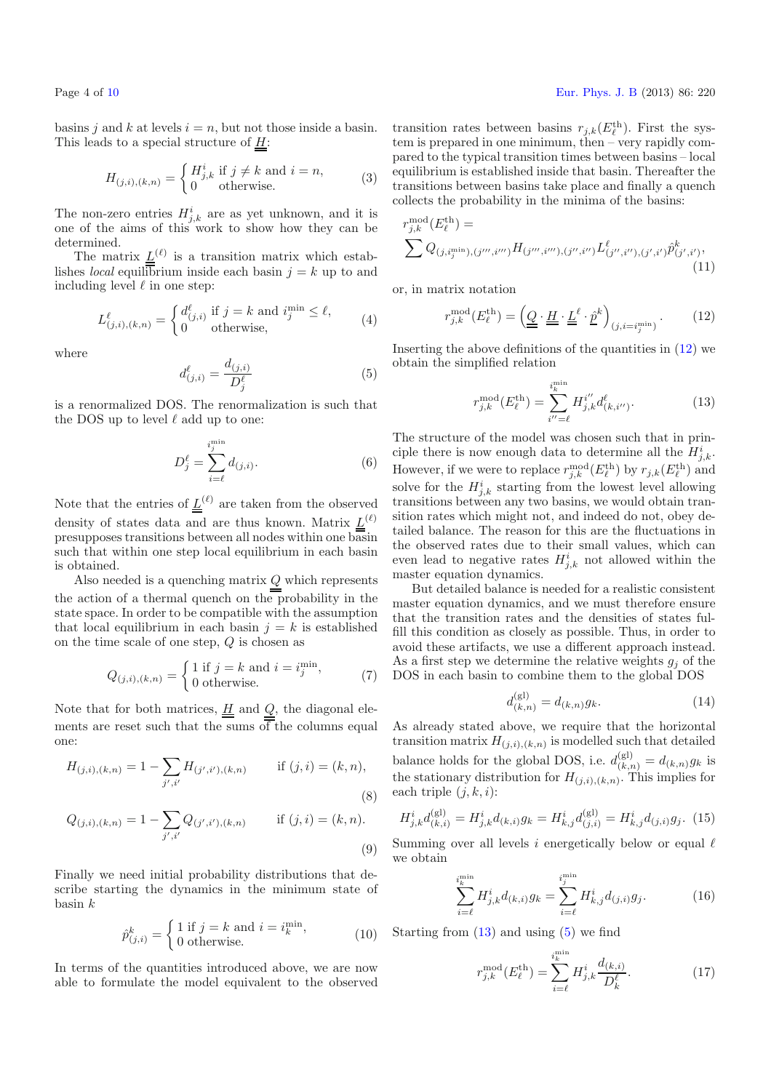Page 4 of [10](#page-9-27) [Eur. Phys. J. B](http://www.epj.org) (2013) 86: 220

<span id="page-3-2"></span>basins j and k at levels  $i = n$ , but not those inside a basin. This leads to a special structure of  $H$ :

$$
H_{(j,i),(k,n)} = \begin{cases} H_{j,k}^i \text{ if } j \neq k \text{ and } i = n, \\ 0 \text{ otherwise.} \end{cases}
$$
 (3)

The non-zero entries  $H_{j,k}^i$  are as yet unknown, and it is one of the aims of this work to show how they can be determined.

The matrix  $\underline{L}^{(\ell)}$  is a transition matrix which establishes *local* equilibrium inside each basin  $j = k$  up to and including level  $\ell$  in one step:

$$
L^{\ell}_{(j,i),(k,n)} = \begin{cases} d^{\ell}_{(j,i)} & \text{if } j = k \text{ and } i_j^{\min} \leq \ell, \\ 0 & \text{otherwise,} \end{cases}
$$
(4)

where

$$
d_{(j,i)}^{\ell} = \frac{d_{(j,i)}}{D_j^{\ell}}
$$
 (5)

is a renormalized DOS. The renormalization is such that the DOS up to level  $\ell$  add up to one:

$$
D_j^{\ell} = \sum_{i=\ell}^{i_j^{\min}} d_{(j,i)}.
$$
\n(6)

Note that the entries of  $\underline{L}^{(\ell)}$  are taken from the observed density of states data and are thus known. Matrix  $\underline{L}^{(\ell)}$ presupposes transitions between all nodes within one basin such that within one step local equilibrium in each basin is obtained.

Also needed is a quenching matrix  $Q$  which represents the action of a thermal quench on the probability in the state space. In order to be compatible with the assumption that local equilibrium in each basin  $j = k$  is established on the time scale of one step, Q is chosen as

$$
Q_{(j,i),(k,n)} = \begin{cases} 1 \text{ if } j=k \text{ and } i=i_j^{\min}, \\ 0 \text{ otherwise.} \end{cases}
$$
 (7)

Note that for both matrices,  $\underline{H}$  and  $\underline{Q}$ , the diagonal elements are reset such that the sums  $\overline{of}$  the columns equal one:

$$
H_{(j,i),(k,n)} = 1 - \sum_{j',i'} H_{(j',i'),(k,n)} \quad \text{if } (j,i) = (k,n),
$$
\n(8)

$$
Q_{(j,i),(k,n)} = 1 - \sum_{j',i'} Q_{(j',i'),(k,n)} \quad \text{if } (j,i) = (k,n). \tag{9}
$$

Finally we need initial probability distributions that describe starting the dynamics in the minimum state of basin k

$$
\hat{p}_{(j,i)}^k = \begin{cases} 1 \text{ if } j = k \text{ and } i = i_k^{\min}, \\ 0 \text{ otherwise.} \end{cases}
$$
 (10)

In terms of the quantities introduced above, we are now able to formulate the model equivalent to the observed

<span id="page-3-0"></span>transition rates between basins  $r_{j,k}(E_{\ell}^{\text{th}})$ . First the system is prepared in one minimum, then – very rapidly compared to the typical transition times between basins – local equilibrium is established inside that basin. Thereafter the transitions between basins take place and finally a quench collects the probability in the minima of the basins:

<span id="page-3-1"></span>
$$
r_{j,k}^{\text{mod}}(E_{\ell}^{\text{th}}) = \sum Q_{(j,i_j^{\min}),(j''',i''')} H_{(j''',i'''),(j'',i'')} L^{\ell}_{(j'',i''),(j',i')} \hat{p}^{k}_{(j',i')},
$$
\n(11)

or, in matrix notation

$$
r_{j,k}^{\text{mod}}(E_{\ell}^{\text{th}}) = \left(\underline{\underline{Q}} \cdot \underline{\underline{H}} \cdot \underline{\underline{L}}^{\ell} \cdot \underline{\hat{p}}^{k}\right)_{(j,i=i_j^{\min})}.
$$
 (12)

Inserting the above definitions of the quantities in [\(12\)](#page-3-0) we obtain the simplified relation

$$
r_{j,k}^{\text{mod}}(E_{\ell}^{\text{th}}) = \sum_{i''=\ell}^{i_{k}^{\text{min}}} H_{j,k}^{i''} d_{(k,i'')}^{\ell}.
$$
 (13)

The structure of the model was chosen such that in principle there is now enough data to determine all the  $H^i_{j,k}$ . However, if we were to replace  $r^{\text{mod}}_{j,k}(E_{\ell}^{\text{th}})$  by  $r_{j,k}(E_{\ell}^{\text{th}})$  and solve for the  $H^i_{j,k}$  starting from the lowest level allowing transitions between any two basins, we would obtain transition rates which might not, and indeed do not, obey detailed balance. The reason for this are the fluctuations in the observed rates due to their small values, which can even lead to negative rates  $H_{j,k}^i$  not allowed within the master equation dynamics.

<span id="page-3-4"></span>But detailed balance is needed for a realistic consistent master equation dynamics, and we must therefore ensure that the transition rates and the densities of states fulfill this condition as closely as possible. Thus, in order to avoid these artifacts, we use a different approach instead. As a first step we determine the relative weights  $q_i$  of the DOS in each basin to combine them to the global DOS

$$
d_{(k,n)}^{(\text{gl})} = d_{(k,n)}g_k. \tag{14}
$$

As already stated above, we require that the horizontal transition matrix  $H_{(j,i),(k,n)}$  is modelled such that detailed balance holds for the global DOS, i.e.  $d_{(k,n)}^{(\text{gl})} = d_{(k,n)}g_k$  is the stationary distribution for  $H_{(j,i),(k,n)}$ . This implies for each triple  $(j, k, i)$ :

$$
H_{j,k}^{i}d_{(k,i)}^{(\text{gl})} = H_{j,k}^{i}d_{(k,i)}g_{k} = H_{k,j}^{i}d_{(j,i)}^{(\text{gl})} = H_{k,j}^{i}d_{(j,i)}g_{j}. \tag{15}
$$

Summing over all levels i energetically below or equal  $\ell$ we obtain

$$
\sum_{i=\ell}^{i_k^{\min}} H^i_{j,k} d_{(k,i)} g_k = \sum_{i=\ell}^{i_j^{\min}} H^i_{k,j} d_{(j,i)} g_j.
$$
 (16)

<span id="page-3-3"></span>Starting from  $(13)$  and using  $(5)$  we find

$$
r_{j,k}^{\text{mod}}(E_{\ell}^{\text{th}}) = \sum_{i=\ell}^{i_k^{\text{min}}} H_{j,k}^i \frac{d_{(k,i)}}{D_k^{\ell}}.
$$
 (17)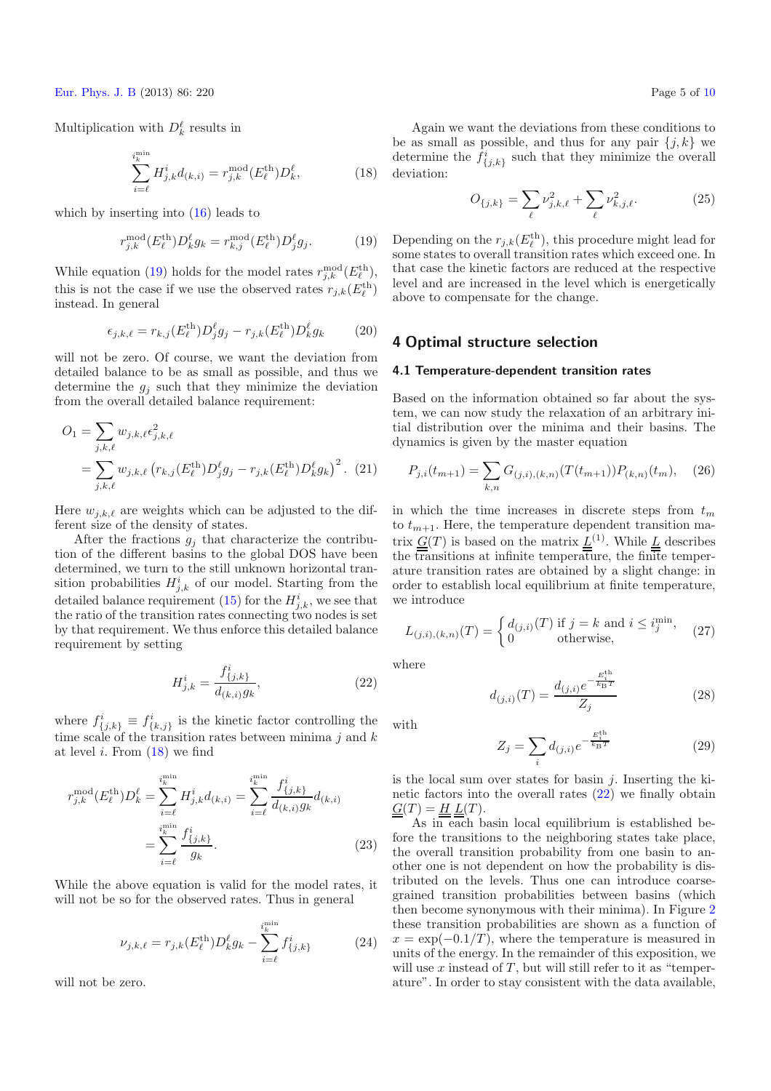<span id="page-4-1"></span><span id="page-4-0"></span>[Eur. Phys. J. B](http://www.epj.org) (2013) 86: 220 Page 5 of [10](#page-9-27)

Multiplication with  $D_k^{\ell}$  results in

$$
\sum_{i=\ell}^{i_k^{\text{min}}} H_{j,k}^i d_{(k,i)} = r_{j,k}^{\text{mod}}(E_{\ell}^{\text{th}}) D_k^{\ell},\tag{18}
$$

which by inserting into  $(16)$  leads to

$$
r_{j,k}^{\text{mod}}(E_{\ell}^{\text{th}})D_k^{\ell}g_k = r_{k,j}^{\text{mod}}(E_{\ell}^{\text{th}})D_j^{\ell}g_j. \tag{19}
$$

While equation [\(19\)](#page-4-0) holds for the model rates  $r^{\text{mod}}_{j,k}(E_{\ell}^{\text{th}})$ , this is not the case if we use the observed rates  $r_{j,k}(E_{\ell}^{\rm th})$ instead. In general

$$
\epsilon_{j,k,\ell} = r_{k,j}(E_{\ell}^{\text{th}})D_j^{\ell}g_j - r_{j,k}(E_{\ell}^{\text{th}})D_k^{\ell}g_k \qquad (20)
$$

will not be zero. Of course, we want the deviation from detailed balance to be as small as possible, and thus we determine the  $g_j$  such that they minimize the deviation from the overall detailed balance requirement:

<span id="page-4-2"></span>
$$
O_1 = \sum_{j,k,\ell} w_{j,k,\ell} \epsilon_{j,k,\ell}^2
$$
  
= 
$$
\sum_{j,k,\ell} w_{j,k,\ell} (r_{k,j}(E_{\ell}^{\text{th}}) D_j^{\ell} g_j - r_{j,k}(E_{\ell}^{\text{th}}) D_k^{\ell} g_k)^2
$$
. (21)

Here  $w_{j,k,\ell}$  are weights which can be adjusted to the different size of the density of states.

After the fractions  $g_i$  that characterize the contribution of the different basins to the global DOS have been determined, we turn to the still unknown horizontal transition probabilities  $H^i_{j,k}$  of our model. Starting from the detailed balance requirement [\(15\)](#page-3-4) for the  $H^i_{j,k}$ , we see that the ratio of the transition rates connecting two nodes is set by that requirement. We thus enforce this detailed balance requirement by setting

$$
H_{j,k}^{i} = \frac{f_{\{j,k\}}^{i}}{d_{(k,i)}g_k},
$$
\n(22)

where  $f^i_{\{j,k\}} \equiv f^i_{\{k,j\}}$  is the kinetic factor controlling the time scale of the transition rates between minima  $j$  and  $k$ at level i. From  $(18)$  we find

$$
r_{j,k}^{\text{mod}}(E_{\ell}^{\text{th}})D_{k}^{\ell} = \sum_{i=\ell}^{i_{k}^{\text{min}}} H_{j,k}^{i} d_{(k,i)} = \sum_{i=\ell}^{i_{k}^{\text{min}}} \frac{f_{\{j,k\}}^{i}}{d_{(k,i)}g_{k}} d_{(k,i)}
$$

$$
= \sum_{i=\ell}^{i_{k}^{\text{min}}} \frac{f_{\{j,k\}}^{i}}{g_{k}}.
$$
(23)

While the above equation is valid for the model rates, it will not be so for the observed rates. Thus in general

$$
\nu_{j,k,\ell} = r_{j,k}(E_{\ell}^{\text{th}})D_k^{\ell}g_k - \sum_{i=\ell}^{i_k^{\text{min}}} f_{\{j,k\}}^i
$$
 (24)

will not be zero.

Again we want the deviations from these conditions to be as small as possible, and thus for any pair  $\{j, k\}$  we determine the  $f_{\{j,k\}}^i$  such that they minimize the overall deviation:

<span id="page-4-3"></span>
$$
O_{\{j,k\}} = \sum_{\ell} \nu_{j,k,\ell}^2 + \sum_{\ell} \nu_{k,j,\ell}^2.
$$
 (25)

Depending on the  $r_{j,k}(E_{\ell}^{\text{th}})$ , this procedure might lead for some states to overall transition rates which exceed one. In that case the kinetic factors are reduced at the respective level and are increased in the level which is energetically above to compensate for the change.

## **4 Optimal structure selection**

#### **4.1 Temperature-dependent transition rates**

Based on the information obtained so far about the system, we can now study the relaxation of an arbitrary initial distribution over the minima and their basins. The dynamics is given by the master equation

$$
P_{j,i}(t_{m+1}) = \sum_{k,n} G_{(j,i),(k,n)}(T(t_{m+1})) P_{(k,n)}(t_m), \quad (26)
$$

in which the time increases in discrete steps from  $t_m$ to  $t_{m+1}$ . Here, the temperature dependent transition matrix  $\underline{\underline{G}}(T)$  is based on the matrix  $\underline{\underline{L}}^{(1)}$ . While  $\underline{\underline{L}}$  describes the transitions at infinite temperature, the finite temperature transition rates are obtained by a slight change: in order to establish local equilibrium at finite temperature, we introduce

$$
L_{(j,i),(k,n)}(T) = \begin{cases} d_{(j,i)}(T) & \text{if } j=k \text{ and } i \leq i_j^{\min},\\ 0 & \text{otherwise}, \end{cases}
$$
 (27)

where

$$
d_{(j,i)}(T) = \frac{d_{(j,i)}e^{-\frac{E_i^{t^h}}{k_B T}}}{Z_j}
$$
\n(28)

with

$$
Z_j = \sum_i d_{(j,i)} e^{-\frac{E_i^{\text{th}}}{k_{\text{B}}T}}
$$
(29)

is the local sum over states for basin  $j$ . Inserting the kinetic factors into the overall rates  $(22)$  we finally obtain  $\underline{\underline{G}}(T) = \underline{\underline{H}} \underline{\underline{L}}(T).$ 

As in each basin local equilibrium is established before the transitions to the neighboring states take place, the overall transition probability from one basin to another one is not dependent on how the probability is distributed on the levels. Thus one can introduce coarsegrained transition probabilities between basins (which then become synonymous with their minima). In Figure [2](#page-5-0) these transition probabilities are shown as a function of  $x = \exp(-0.1/T)$ , where the temperature is measured in units of the energy. In the remainder of this exposition, we will use  $x$  instead of  $T$ , but will still refer to it as "temperature". In order to stay consistent with the data available,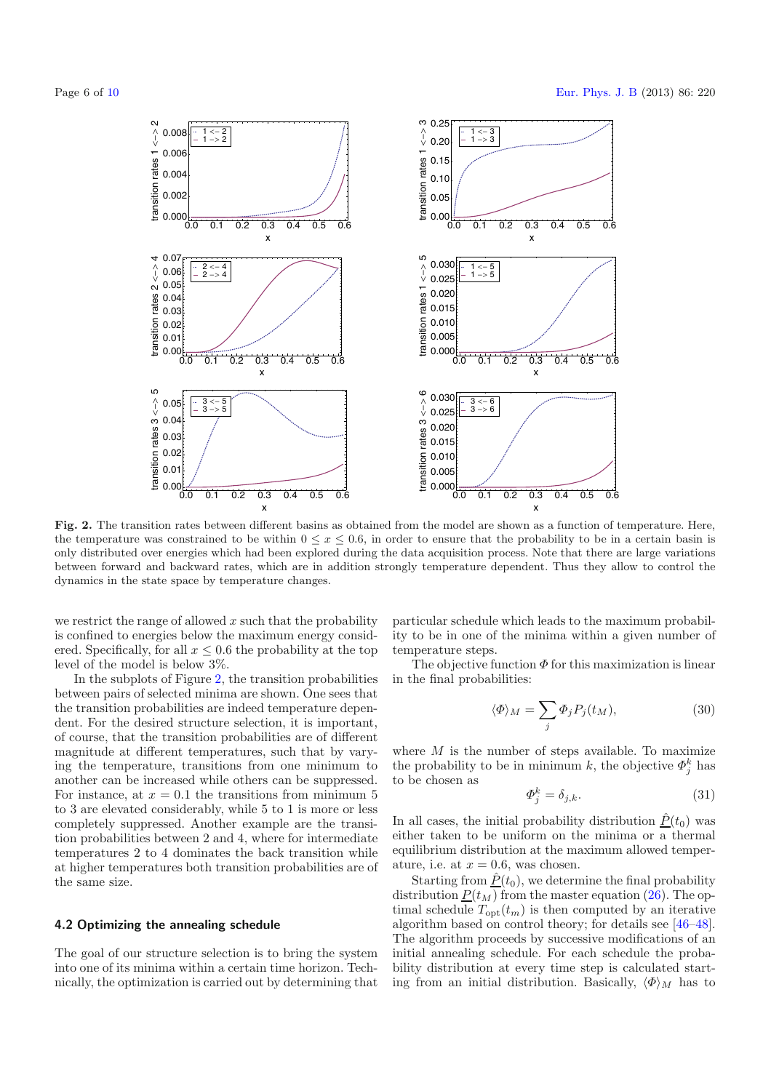

<span id="page-5-0"></span>**Fig. 2.** The transition rates between different basins as obtained from the model are shown as a function of temperature. Here, the temperature was constrained to be within  $0 \le x \le 0.6$ , in order to ensure that the probability to be in a certain basin is only distributed over energies which had been explored during the data acquisition process. Note that there are large variations between forward and backward rates, which are in addition strongly temperature dependent. Thus they allow to control the dynamics in the state space by temperature changes.

we restrict the range of allowed  $x$  such that the probability is confined to energies below the maximum energy considered. Specifically, for all  $x \leq 0.6$  the probability at the top level of the model is below 3%.

In the subplots of Figure [2,](#page-5-0) the transition probabilities between pairs of selected minima are shown. One sees that the transition probabilities are indeed temperature dependent. For the desired structure selection, it is important, of course, that the transition probabilities are of different magnitude at different temperatures, such that by varying the temperature, transitions from one minimum to another can be increased while others can be suppressed. For instance, at  $x = 0.1$  the transitions from minimum 5 to 3 are elevated considerably, while 5 to 1 is more or less completely suppressed. Another example are the transition probabilities between 2 and 4, where for intermediate temperatures 2 to 4 dominates the back transition while at higher temperatures both transition probabilities are of the same size.

#### **4.2 Optimizing the annealing schedule**

The goal of our structure selection is to bring the system into one of its minima within a certain time horizon. Technically, the optimization is carried out by determining that

particular schedule which leads to the maximum probability to be in one of the minima within a given number of temperature steps.

The objective function  $\Phi$  for this maximization is linear in the final probabilities:

$$
\langle \Phi \rangle_M = \sum_j \Phi_j P_j(t_M),\tag{30}
$$

where  $M$  is the number of steps available. To maximize the probability to be in minimum k, the objective  $\Phi_j^k$  has to be chosen as

$$
\Phi_j^k = \delta_{j,k}.\tag{31}
$$

In all cases, the initial probability distribution  $\hat{P}(t_0)$  was either taken to be uniform on the minima or a thermal equilibrium distribution at the maximum allowed temperature, i.e. at  $x = 0.6$ , was chosen.

Starting from  $\underline{\hat{P}}(t_0)$ , we determine the final probability distribution  $P(t_M)$  from the master equation [\(26\)](#page-4-3). The optimal schedule  $T_{\text{opt}}(t_m)$  is then computed by an iterative algorithm based on control theory; for details see [\[46](#page-9-37)[–48\]](#page-9-38). The algorithm proceeds by successive modifications of an initial annealing schedule. For each schedule the probability distribution at every time step is calculated starting from an initial distribution. Basically,  $\langle \Phi \rangle_M$  has to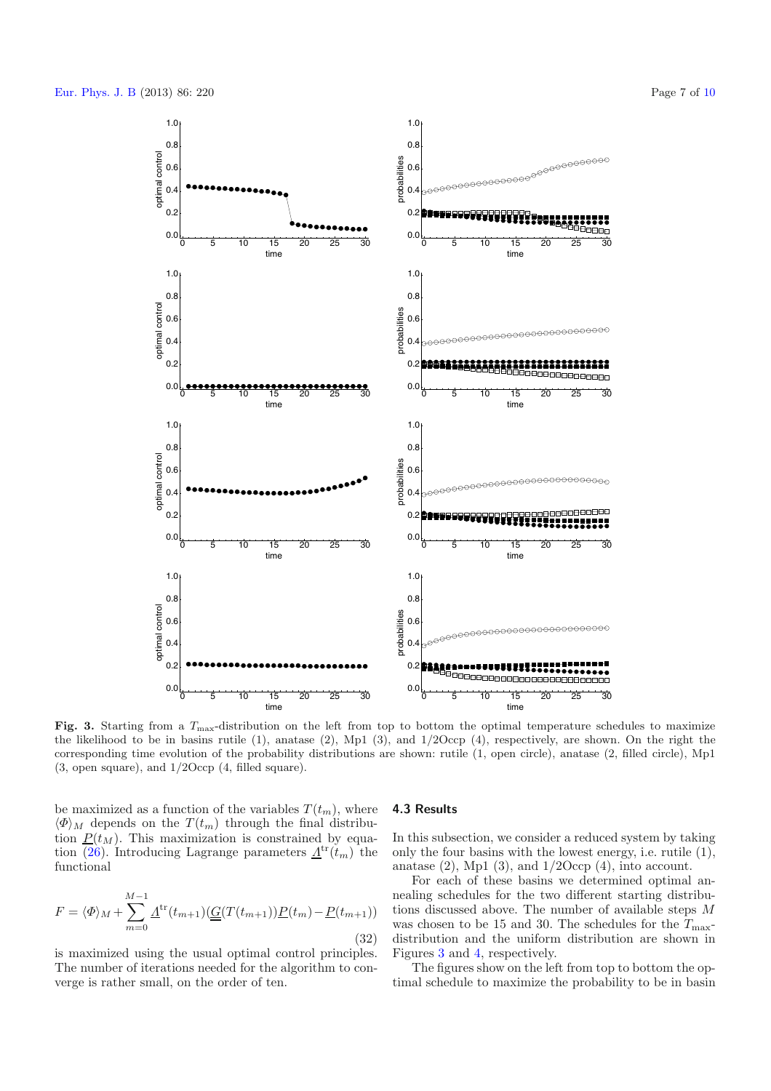

<span id="page-6-0"></span>**Fig. 3.** Starting from a *<sup>T</sup>*max-distribution on the left from top to bottom the optimal temperature schedules to maximize the likelihood to be in basins rutile (1), anatase (2), Mp1 (3), and 1*/*2Occp (4), respectively, are shown. On the right the corresponding time evolution of the probability distributions are shown: rutile (1, open circle), anatase (2, filled circle), Mp1 (3, open square), and 1*/*2Occp (4, filled square).

be maximized as a function of the variables  $T(t_m)$ , where  $\langle \Phi \rangle_M$  depends on the  $T(t_m)$  through the final distribution  $P(t_M)$ . This maximization is constrained by equa-tion [\(26\)](#page-4-3). Introducing Lagrange parameters  $\underline{A}^{\text{tr}}(t_m)$  the functional

$$
F = \langle \Phi \rangle_M + \sum_{m=0}^{M-1} \underline{A}^{\text{tr}}(t_{m+1}) (\underline{G}(T(t_{m+1})) \underline{P}(t_m) - \underline{P}(t_{m+1}))
$$
\n(32)

is maximized using the usual optimal control principles. The number of iterations needed for the algorithm to converge is rather small, on the order of ten.

#### **4.3 Results**

In this subsection, we consider a reduced system by taking only the four basins with the lowest energy, i.e. rutile (1), anatase  $(2)$ , Mp1  $(3)$ , and  $1/2$ Occp  $(4)$ , into account.

For each of these basins we determined optimal annealing schedules for the two different starting distributions discussed above. The number of available steps M was chosen to be 15 and 30. The schedules for the  $T_{\text{max}}$ distribution and the uniform distribution are shown in Figures [3](#page-6-0) and [4,](#page-7-0) respectively.

The figures show on the left from top to bottom the optimal schedule to maximize the probability to be in basin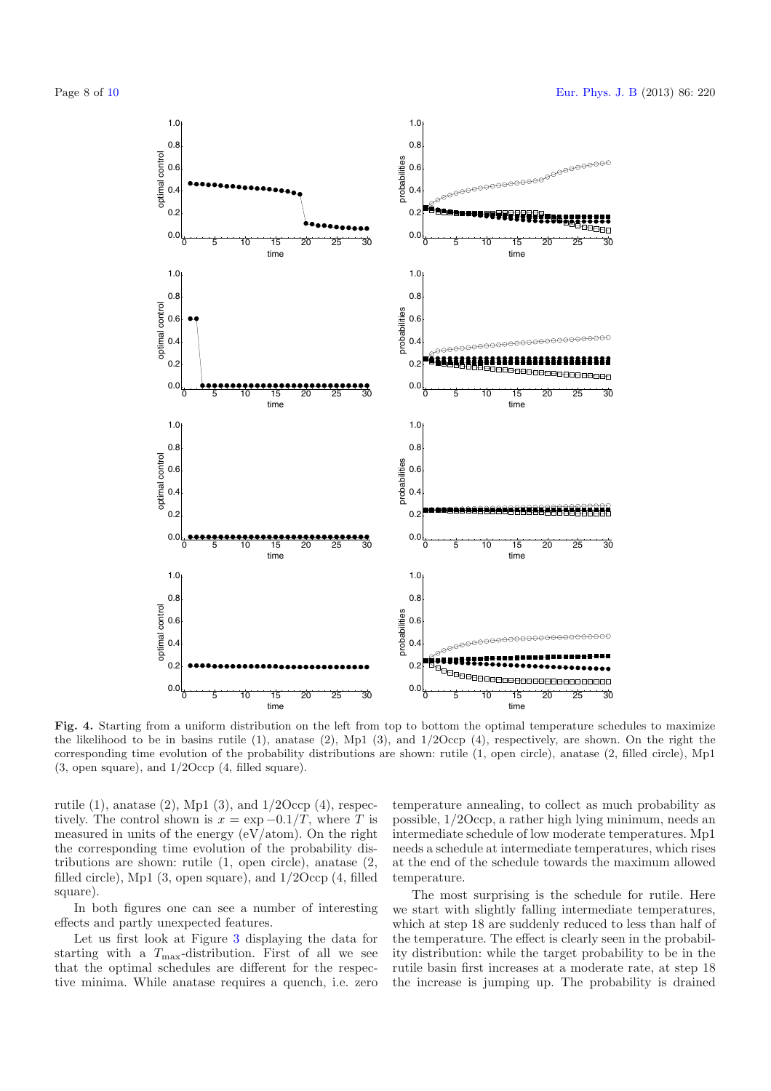

<span id="page-7-0"></span>**Fig. 4.** Starting from a uniform distribution on the left from top to bottom the optimal temperature schedules to maximize the likelihood to be in basins rutile (1), anatase (2), Mp1 (3), and 1*/*2Occp (4), respectively, are shown. On the right the corresponding time evolution of the probability distributions are shown: rutile (1, open circle), anatase (2, filled circle), Mp1 (3, open square), and 1*/*2Occp (4, filled square).

rutile  $(1)$ , anatase  $(2)$ , Mp1  $(3)$ , and  $1/2$ Occp  $(4)$ , respectively. The control shown is  $x = \exp(-0.1/T)$ , where T is measured in units of the energy (eV/atom). On the right the corresponding time evolution of the probability distributions are shown: rutile (1, open circle), anatase (2, filled circle), Mp1 (3, open square), and 1/2Occp (4, filled square).

In both figures one can see a number of interesting effects and partly unexpected features.

Let us first look at Figure [3](#page-6-0) displaying the data for starting with a  $T_{\text{max}}$ -distribution. First of all we see that the optimal schedules are different for the respective minima. While anatase requires a quench, i.e. zero

temperature annealing, to collect as much probability as possible, 1/2Occp, a rather high lying minimum, needs an intermediate schedule of low moderate temperatures. Mp1 needs a schedule at intermediate temperatures, which rises at the end of the schedule towards the maximum allowed temperature.

The most surprising is the schedule for rutile. Here we start with slightly falling intermediate temperatures, which at step 18 are suddenly reduced to less than half of the temperature. The effect is clearly seen in the probability distribution: while the target probability to be in the rutile basin first increases at a moderate rate, at step 18 the increase is jumping up. The probability is drained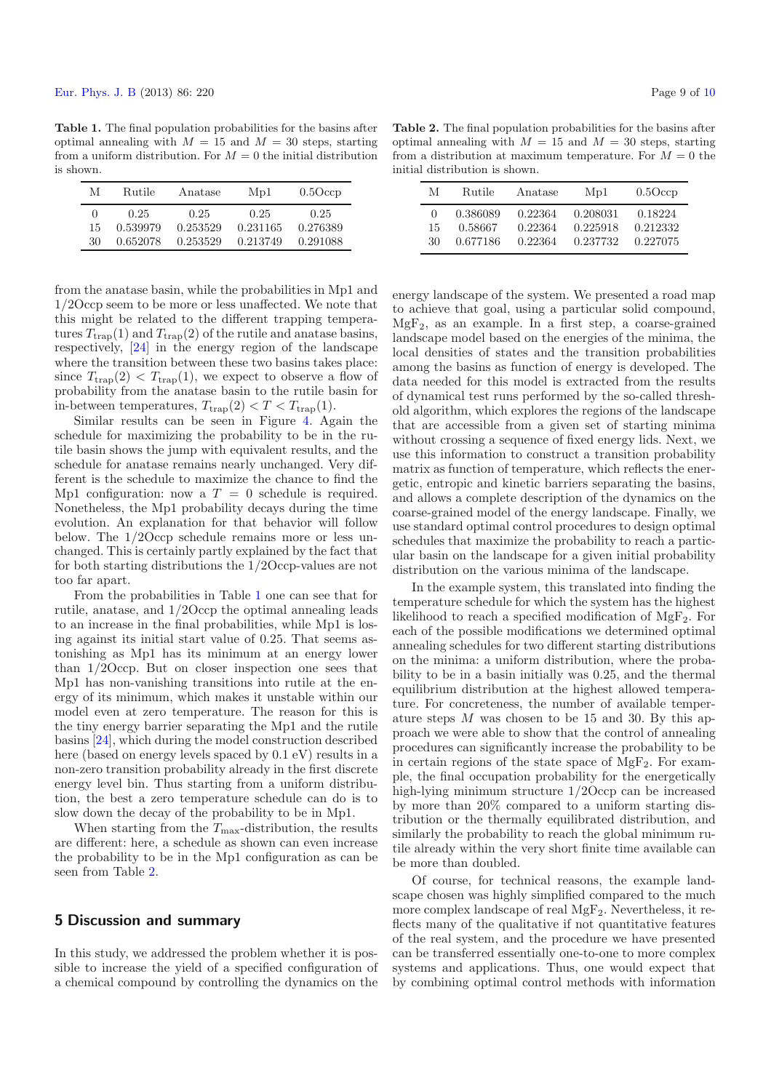<span id="page-8-0"></span>**Table 1.** The final population probabilities for the basins after optimal annealing with  $M = 15$  and  $M = 30$  steps, starting from a uniform distribution. For  $M = 0$  the initial distribution is shown.

| М        | Rutile   | Anatase  | Mp1      | $0.5$ Occp |
|----------|----------|----------|----------|------------|
| $\theta$ | 0.25     | 0.25     | 0.25     | 0.25       |
| 15       | 0.539979 | 0.253529 | 0.231165 | 0.276389   |
| 30       | 0.652078 | 0.253529 | 0.213749 | 0.291088   |

from the anatase basin, while the probabilities in Mp1 and 1/2Occp seem to be more or less unaffected. We note that this might be related to the different trapping temperatures  $T_{\text{trap}}(1)$  and  $T_{\text{trap}}(2)$  of the rutile and anatase basins, respectively, [\[24\]](#page-9-15) in the energy region of the landscape where the transition between these two basins takes place: since  $T_{\text{trap}}(2) < T_{\text{trap}}(1)$ , we expect to observe a flow of probability from the anatase basin to the rutile basin for in-between temperatures,  $T_{trap}(2) < T < T_{trap}(1)$ .

Similar results can be seen in Figure [4.](#page-7-0) Again the schedule for maximizing the probability to be in the rutile basin shows the jump with equivalent results, and the schedule for anatase remains nearly unchanged. Very different is the schedule to maximize the chance to find the Mp1 configuration: now a  $T = 0$  schedule is required. Nonetheless, the Mp1 probability decays during the time evolution. An explanation for that behavior will follow below. The 1/2Occp schedule remains more or less unchanged. This is certainly partly explained by the fact that for both starting distributions the 1/2Occp-values are not too far apart.

From the probabilities in Table [1](#page-8-0) one can see that for rutile, anatase, and 1/2Occp the optimal annealing leads to an increase in the final probabilities, while Mp1 is losing against its initial start value of 0.25. That seems astonishing as Mp1 has its minimum at an energy lower than 1/2Occp. But on closer inspection one sees that Mp1 has non-vanishing transitions into rutile at the energy of its minimum, which makes it unstable within our model even at zero temperature. The reason for this is the tiny energy barrier separating the Mp1 and the rutile basins [\[24\]](#page-9-15), which during the model construction described here (based on energy levels spaced by 0.1 eV) results in a non-zero transition probability already in the first discrete energy level bin. Thus starting from a uniform distribution, the best a zero temperature schedule can do is to slow down the decay of the probability to be in Mp1.

When starting from the  $T_{\text{max}}$ -distribution, the results are different: here, a schedule as shown can even increase the probability to be in the Mp1 configuration as can be seen from Table [2.](#page-8-1)

### **5 Discussion and summary**

In this study, we addressed the problem whether it is possible to increase the yield of a specified configuration of a chemical compound by controlling the dynamics on the

<span id="page-8-1"></span>**Table 2.** The final population probabilities for the basins after optimal annealing with  $M = 15$  and  $M = 30$  steps, starting from a distribution at maximum temperature. For  $M = 0$  the initial distribution is shown.

| M            | Rutile   | Anatase | Mp1      | $0.5$ Occp |
|--------------|----------|---------|----------|------------|
| $\mathbf{0}$ | 0.386089 | 0.22364 | 0.208031 | 0.18224    |
| 15           | 0.58667  | 0.22364 | 0.225918 | 0.212332   |
| 30           | 0.677186 | 0.22364 | 0.237732 | 0.227075   |

energy landscape of the system. We presented a road map to achieve that goal, using a particular solid compound,  $MgF_2$ , as an example. In a first step, a coarse-grained landscape model based on the energies of the minima, the local densities of states and the transition probabilities among the basins as function of energy is developed. The data needed for this model is extracted from the results of dynamical test runs performed by the so-called threshold algorithm, which explores the regions of the landscape that are accessible from a given set of starting minima without crossing a sequence of fixed energy lids. Next, we use this information to construct a transition probability matrix as function of temperature, which reflects the energetic, entropic and kinetic barriers separating the basins, and allows a complete description of the dynamics on the coarse-grained model of the energy landscape. Finally, we use standard optimal control procedures to design optimal schedules that maximize the probability to reach a particular basin on the landscape for a given initial probability distribution on the various minima of the landscape.

In the example system, this translated into finding the temperature schedule for which the system has the highest likelihood to reach a specified modification of  $MgF_2$ . For each of the possible modifications we determined optimal annealing schedules for two different starting distributions on the minima: a uniform distribution, where the probability to be in a basin initially was 0.25, and the thermal equilibrium distribution at the highest allowed temperature. For concreteness, the number of available temperature steps  $M$  was chosen to be 15 and 30. By this approach we were able to show that the control of annealing procedures can significantly increase the probability to be in certain regions of the state space of  $MgF_2$ . For example, the final occupation probability for the energetically high-lying minimum structure 1/2Occp can be increased by more than 20% compared to a uniform starting distribution or the thermally equilibrated distribution, and similarly the probability to reach the global minimum rutile already within the very short finite time available can be more than doubled.

Of course, for technical reasons, the example landscape chosen was highly simplified compared to the much more complex landscape of real  $\mathrm{MgF_{2}}.$  Nevertheless, it reflects many of the qualitative if not quantitative features of the real system, and the procedure we have presented can be transferred essentially one-to-one to more complex systems and applications. Thus, one would expect that by combining optimal control methods with information